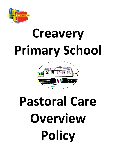

# **Creavery Primary School**



# **Pastoral Care Overview Policy**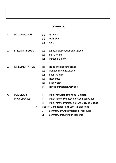### **CONTENTS**

#### **1. INTRODUCTION** (a) Rationale

- 
- (b) Definitions
- (c) Aims
- 
- **2. SPECIFIC ISSUES** (a) Ethos, Relationships and Values
	- (b) Self-Esteem
	- (c) Personal Safety

# **3. IMPLEMENTATION** (a) Roles and Responsibilities

- 
- (b) Monitoring and Evaluation
- (c) Staff Training
- (d) Resources
- (e) Supervision
- (f) Range of Pastoral Activities

- **4. POLICIES &** i Policy for Safeguarding our Children
	- **PROCEDURES** ii Policy for the Promotion of Good Behaviour
		- iii Policy for the Promotion of Anti-Bullying Culture
		- iv Code of Conduct for Pupil Staff Relationships
			- v Summary of Child Protection Procedures
			- vi Summary of Bullying Procedures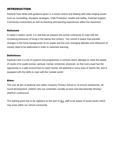# INTRODUCTION

Pastoral Care deals with guidance given in a social context and dealing with wide ranging issues such as counselling, discipline strategies, Child Protection, Health and Safety, Parental Support, Community involvement as well as teaching and learning experiences within the classroom.

# Rationale

In today's modern world, it is vital that we prepare the school community to cope with the increasing pressures of living in the twenty-first century. Our school is aware that possible changes in the home backgrounds of our pupils and the ever-changing attitudes and influences of society need to be addressed in order to maximise learning.

# **Definitions**

Pastoral Care is a set of systems and programmes in schools which attempts to meet the totality of needs of its pupils (social, spiritual, mental, emotional, physical), so that every pupil has the opportunity in a safe environment to reach his/her full potential in every area of his/her life, and is equipped with the skills to cope with the 'outside world.'

## Aims:

The over all aim of pastoral care within Creavery Primary School is "to ensure wholesome, allround development: children who are contented, socially at ease and educationally thriving." *(NAPCE conference)*

The starting point has to be vigilance on the part of ALL staff to be aware of social issues which may arise within our school community.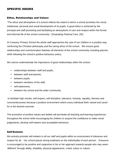# SPECIFIC ISSUES

### Ethos, Relationships and Values:

"The ethos and atmosphere of a school reflects the extent to which a school promotes the moral, intellectual, personal and social development of its pupils. A good ethos is achieved by the principal and staff promoting and facilitating an atmosphere of care and respect within the formal and informal life of the school community." *(Evaluating Pastoral Care, DE)*

At Creavery Primary School the whole staff approaches the care of our children in a positive way, reinforcing the Christian philosophy and the caring ethos of the school. We ensure good relationships and communication between all elements of the school community including parents, while following the school's positive behaviour policy.

We cannot underestimate the importance of good relationships within the school;

- relationships between staff and pupils,
- between staff and parents,
- between pupils,
- between members of the staff,
- self-awareness,
- between the school and the wider community,

to facilitate high morale, self-respect, self-discipline, tolerance, honesty, equality, fairness and conscientiousness because a positive environment where every individual feels valued and cared for is the desired outcome.

The promotion of positive values and beliefs will permeate all teaching and learning experiences throughout the school while encouraging the children to acquire the confidence to make moral judgements, develop self-esteem and acceptable behaviour.

#### Self-Esteem:

We actively promote self-esteem in all our staff and pupils within an environment of tolerance and respect for all. Our school places strong emphasis on the individuality of each person. Everyone is encouraged to be positive and supportive in his or her approach towards people who may seem 'different' through ability, disability, physical appearance, creed, colour or culture.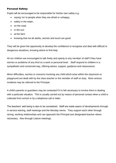### Personal Safety:

Pupils will be encouraged to be responsible for his/her own safety e.g.

- saying 'no' to people when they are afraid or unhappy,
- safety in the water,
- on the road,
- in the sun
- at the farm
- knowing that not all adults, secrets and touch are good.

They will be given the opportunity to develop the confidence to recognise and deal with difficult or dangerous situations, knowing where to find help.

All our children are encouraged to talk freely and openly to any member of staff if they have worries or problems of any kind on a work or personal level. Staff respond to children in a sympathetic and concerned way, offering advice, support, guidance and reassurance.

Minor difficulties, worries or concerns involving any child which arise within the classroom or playground are dealt with by the class teacher or the member of staff on duty. More serious incidents may be referred to the Principal.

A child's parents or guardians may be contacted if it is felt necessary to involve them in dealing with a particular situation. This is usually carried out by means of personal contact when a child is collected from school or by a telephone call or letter.

The teachers' well being is also to be considered. Staff are made aware of developments through in-service training, staff meetings and the Monday memo. They support each other through strong, working relationships and can approach the Principal and designated teacher where necessary. Also through Liaison meetings.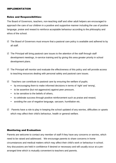#### IMPLEMENTATION

#### Roles and Responsibilities:

The Board of Governors, teachers, non-teaching staff and other adult helpers are encouraged to approach the care of our children in a positive and supportive manner including the use of positive language, praise and reward to reinforce acceptable behaviour according to the philosophy and ethos of the school.

- $\boxtimes$  The Board of Governors must ensure that a pastoral care policy is available and adhered to by all staff.
- $\boxtimes$  The Principal will bring pastoral care issues to the attention of the staff through staff development meetings, in-service training and by giving this area greater priority in school development plans.
- $\boxtimes$  The Principal will monitor and evaluate the effectiveness of this policy and will provide access to teaching resources dealing with personal safety and pastoral care issues.
- $\boxtimes$  Teachers can contribute to pastoral care by ensuring the welfare of pupils;
	- by encouraging them to make informed decisions in terms of 'right' and 'wrong',
	- to be assertive (but not aggressive) against peer pressure,
	- to be sensitive to the beliefs of others,
	- to celebrate success through positive reinforcement such as praise and reward,
	- avoiding the use of negative language, sarcasm, humiliation etc.
- $\boxtimes$  Parents have a role to play in keeping the school updated of any worries, difficulties or upsets which may affect their child's behaviour, health or general welfare.

#### Monitoring and Evaluation:

Parents are welcome to contact any member of staff if they have any concerns or worries, which need to be raised and addressed. We encourage parents to share concerns in home circumstances and medical matters which may affect their child's work or behaviour in school. Any discussions are held in confidence if desired or necessary and will usually occur at a prearranged time which is mutually convenient to teachers and parents.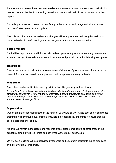Parents are also, given the opportunity to raise such issues at annual interviews with their child's teacher. Written feedback concerning behavioural matters will be included in our annual school reports.

Similarly, pupils are encouraged to identify any problems at an early stage and all staff should provide a "listening ear" as appropriate.

The policy will be kept under review and changes will be implemented following discussions of issues raised within staff meetings and further guidance from Education Authority.

## Staff Training:

Staff will be kept updated and informed about developments in pastoral care through internal and external training. Pastoral care issues will have a raised profile in our school development plans.

#### Resources:

Resources required to help in the implementation of all areas of pastoral care will be acquired in line with future school development plans and will be updated on a regular basis.

#### Induction:

Their class teacher will initiate new pupils into school life gradually and sensitively.

*P.1 pupils will have the opportunity to attend an induction afternoon and picnic prior to their first official day at Creavery Primary School. Information will be provided to parents to answer any queries they might have. They also have the opportunity to join in P1/P2 activities such as Autumn Walk, Scavenger Hunt.* 

### Supervision:

Our children are supervised between the hours of 09:00 and 15:00. Since staff do not commence their morning playground duty until this time, it is the responsibility of parents to ensure that their child is cared for prior to this.

No child will remain in the classroom, resource areas, cloakrooms, toilets or other areas of the school building during break times or lunch times without adult supervision.

On wet days, children will be supervised by teachers and classroom assistants during break and by auxiliary staff at lunchtimes.